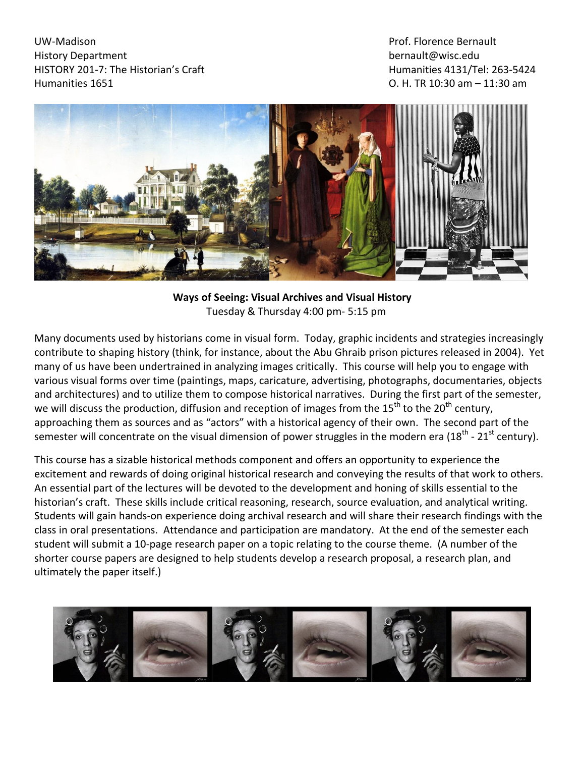UW-Madison History Department HISTORY 201-7: The Historian's Craft Humanities 1651

Prof. Florence Bernault [bernault@wisc.edu](mailto:bernault@wisc.edu)  Humanities 4131/Tel: 263-5424 O. H. TR 10:30 am – 11:30 am



**Ways of Seeing: Visual Archives and Visual History**  Tuesday & Thursday 4:00 pm- 5:15 pm

Many documents used by historians come in visual form. Today, graphic incidents and strategies increasingly contribute to shaping history (think, for instance, about the Abu Ghraib prison pictures released in 2004). Yet many of us have been undertrained in analyzing images critically. This course will help you to engage with various visual forms over time (paintings, maps, caricature, advertising, photographs, documentaries, objects and architectures) and to utilize them to compose historical narratives. During the first part of the semester, we will discuss the production, diffusion and reception of images from the 15<sup>th</sup> to the 20<sup>th</sup> century, approaching them as sources and as "actors" with a historical agency of their own. The second part of the semester will concentrate on the visual dimension of power struggles in the modern era (18<sup>th</sup> - 21<sup>st</sup> century).

This course has a sizable historical methods component and offers an opportunity to experience the excitement and rewards of doing original historical research and conveying the results of that work to others. An essential part of the lectures will be devoted to the development and honing of skills essential to the historian's craft. These skills include critical reasoning, research, source evaluation, and analytical writing. Students will gain hands-on experience doing archival research and will share their research findings with the class in oral presentations. Attendance and participation are mandatory. At the end of the semester each student will submit a 10-page research paper on a topic relating to the course theme. (A number of the shorter course papers are designed to help students develop a research proposal, a research plan, and ultimately the paper itself.)

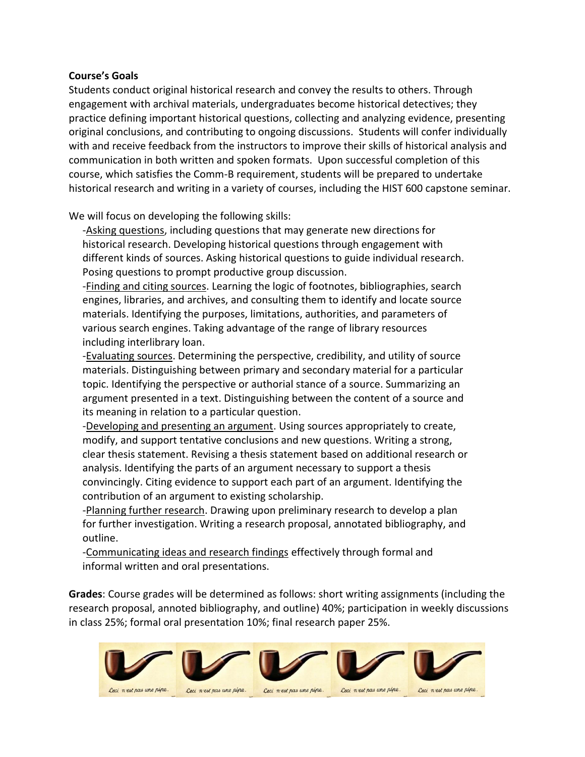#### **Course's Goals**

Students conduct original historical research and convey the results to others. Through engagement with archival materials, undergraduates become historical detectives; they practice defining important historical questions, collecting and analyzing evidence, presenting original conclusions, and contributing to ongoing discussions. Students will confer individually with and receive feedback from the instructors to improve their skills of historical analysis and communication in both written and spoken formats. Upon successful completion of this course, which satisfies the Comm-B requirement, students will be prepared to undertake historical research and writing in a variety of courses, including the HIST 600 capstone seminar.

We will focus on developing the following skills:

-Asking questions, including questions that may generate new directions for historical research. Developing historical questions through engagement with different kinds of sources. Asking historical questions to guide individual research. Posing questions to prompt productive group discussion.

-Finding and citing sources. Learning the logic of footnotes, bibliographies, search engines, libraries, and archives, and consulting them to identify and locate source materials. Identifying the purposes, limitations, authorities, and parameters of various search engines. Taking advantage of the range of library resources including interlibrary loan.

-Evaluating sources. Determining the perspective, credibility, and utility of source materials. Distinguishing between primary and secondary material for a particular topic. Identifying the perspective or authorial stance of a source. Summarizing an argument presented in a text. Distinguishing between the content of a source and its meaning in relation to a particular question.

-Developing and presenting an argument. Using sources appropriately to create, modify, and support tentative conclusions and new questions. Writing a strong, clear thesis statement. Revising a thesis statement based on additional research or analysis. Identifying the parts of an argument necessary to support a thesis convincingly. Citing evidence to support each part of an argument. Identifying the contribution of an argument to existing scholarship.

-Planning further research. Drawing upon preliminary research to develop a plan for further investigation. Writing a research proposal, annotated bibliography, and outline.

-Communicating ideas and research findings effectively through formal and informal written and oral presentations.

**Grades**: Course grades will be determined as follows: short writing assignments (including the research proposal, annoted bibliography, and outline) 40%; participation in weekly discussions in class 25%; formal oral presentation 10%; final research paper 25%.

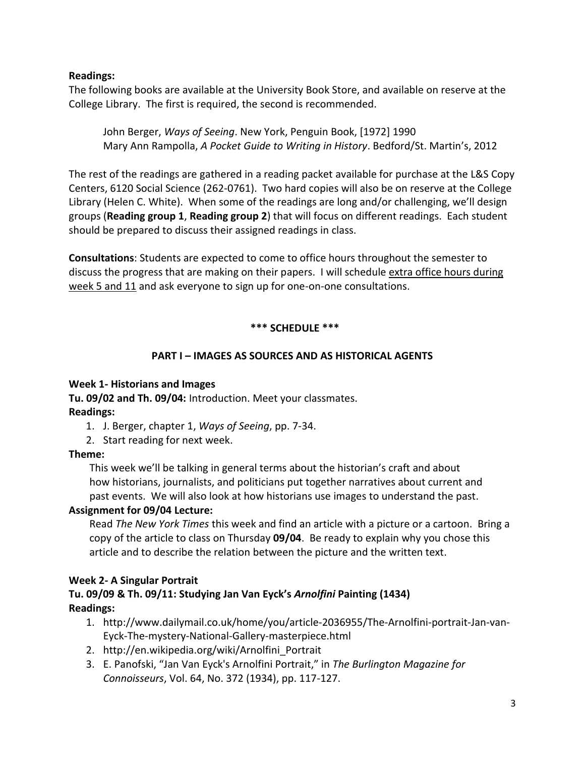#### **Readings:**

The following books are available at the University Book Store, and available on reserve at the College Library. The first is required, the second is recommended.

John Berger, *Ways of Seeing*. New York, Penguin Book, [1972] 1990 Mary Ann Rampolla, *A Pocket Guide to Writing in History*. Bedford/St. Martin's, 2012

The rest of the readings are gathered in a reading packet available for purchase at the L&S Copy Centers, 6120 Social Science (262-0761). Two hard copies will also be on reserve at the College Library (Helen C. White). When some of the readings are long and/or challenging, we'll design groups (**Reading group 1**, **Reading group 2**) that will focus on different readings. Each student should be prepared to discuss their assigned readings in class.

**Consultations**: Students are expected to come to office hours throughout the semester to discuss the progress that are making on their papers. I will schedule extra office hours during week 5 and 11 and ask everyone to sign up for one-on-one consultations.

### **\*\*\* SCHEDULE \*\*\***

### **PART I – IMAGES AS SOURCES AND AS HISTORICAL AGENTS**

#### **Week 1- Historians and Images**

**Tu. 09/02 and Th. 09/04:** Introduction. Meet your classmates. **Readings:** 

- 1. J. Berger, chapter 1, *Ways of Seeing*, pp. 7-34.
- 2. Start reading for next week.

### **Theme:**

This week we'll be talking in general terms about the historian's craft and about how historians, journalists, and politicians put together narratives about current and past events. We will also look at how historians use images to understand the past.

### **Assignment for 09/04 Lecture:**

Read *The New York Times* this week and find an article with a picture or a cartoon. Bring a copy of the article to class on Thursday **09/04**. Be ready to explain why you chose this article and to describe the relation between the picture and the written text.

### **Week 2- A Singular Portrait**

# **Tu. 09/09 & Th. 09/11: Studying Jan Van Eyck's** *Arnolfini* **Painting (1434) Readings:**

- 1. [http://www.dailymail.co.uk/home/you/article-2036955/The-Arnolfini-portrait-Jan-van-](http://www.dailymail.co.uk/home/you/article-2036955/The-Arnolfini-portrait-Jan-van-Eyck-The-mystery-National-Gallery-masterpiece.html)[Eyck-The-mystery-National-Gallery-masterpiece.html](http://www.dailymail.co.uk/home/you/article-2036955/The-Arnolfini-portrait-Jan-van-Eyck-The-mystery-National-Gallery-masterpiece.html)
- 2. [http://en.wikipedia.org/wiki/Arnolfini\\_Portrait](http://en.wikipedia.org/wiki/Arnolfini_Portrait)
- 3. E. Panofski, "Jan Van Eyck's Arnolfini Portrait," in *The Burlington Magazine for Connoisseurs*, Vol. 64, No. 372 (1934), pp. 117-127.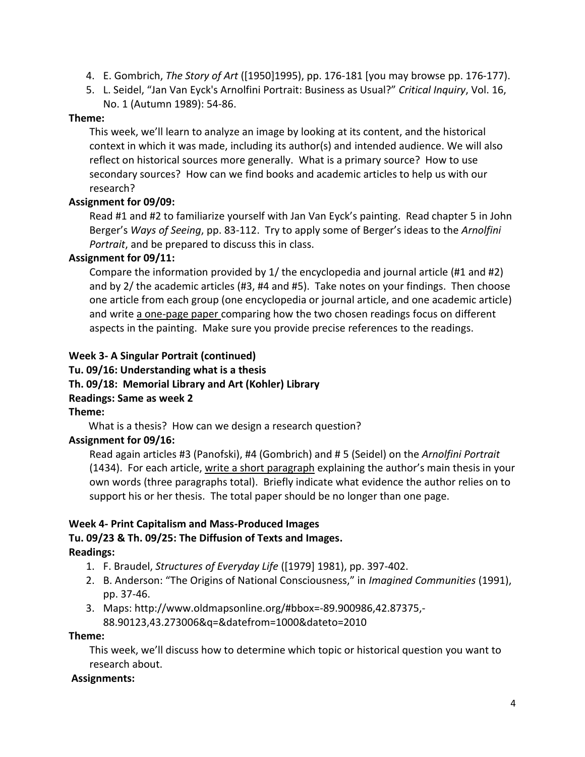- 4. E. Gombrich, *The Story of Art* ([1950]1995), pp. 176-181 [you may browse pp. 176-177).
- 5. L. Seidel, "Jan Van Eyck's Arnolfini Portrait: Business as Usual?" *Critical Inquiry*, Vol. 16, No. 1 (Autumn 1989): 54-86.

#### **Theme:**

This week, we'll learn to analyze an image by looking at its content, and the historical context in which it was made, including its author(s) and intended audience. We will also reflect on historical sources more generally. What is a primary source? How to use secondary sources? How can we find books and academic articles to help us with our research?

## **Assignment for 09/09:**

Read #1 and #2 to familiarize yourself with Jan Van Eyck's painting. Read chapter 5 in John Berger's *Ways of Seeing*, pp. 83-112. Try to apply some of Berger's ideas to the *Arnolfini Portrait*, and be prepared to discuss this in class.

### **Assignment for 09/11:**

Compare the information provided by 1/ the encyclopedia and journal article (#1 and #2) and by 2/ the academic articles (#3, #4 and #5). Take notes on your findings. Then choose one article from each group (one encyclopedia or journal article, and one academic article) and write a one-page paper comparing how the two chosen readings focus on different aspects in the painting. Make sure you provide precise references to the readings.

## **Week 3- A Singular Portrait (continued)**

#### **Tu. 09/16: Understanding what is a thesis Th. 09/18: Memorial Library and Art (Kohler) Library Readings: Same as week 2 Theme:**

What is a thesis? How can we design a research question?

### **Assignment for 09/16:**

Read again articles #3 (Panofski), #4 (Gombrich) and # 5 (Seidel) on the *Arnolfini Portrait* (1434). For each article, write a short paragraph explaining the author's main thesis in your own words (three paragraphs total). Briefly indicate what evidence the author relies on to support his or her thesis. The total paper should be no longer than one page.

### **Week 4- Print Capitalism and Mass-Produced Images**

## **Tu. 09/23 & Th. 09/25: The Diffusion of Texts and Images. Readings:**

- 1. F. Braudel, *Structures of Everyday Life* ([1979] 1981), pp. 397-402.
- 2. B. Anderson: "The Origins of National Consciousness," in *Imagined Communities* (1991), pp. 37-46.
- 3. Maps: [http://www.oldmapsonline.org/#bbox=-89.900986,42.87375,-](http://www.oldmapsonline.org/#bbox=-89.900986,42.87375,-88.90123,43.273006&q=&datefrom=1000&dateto=2010) [88.90123,43.273006&q=&datefrom=1000&dateto=2010](http://www.oldmapsonline.org/#bbox=-89.900986,42.87375,-88.90123,43.273006&q=&datefrom=1000&dateto=2010)

### **Theme:**

This week, we'll discuss how to determine which topic or historical question you want to research about.

### **Assignments:**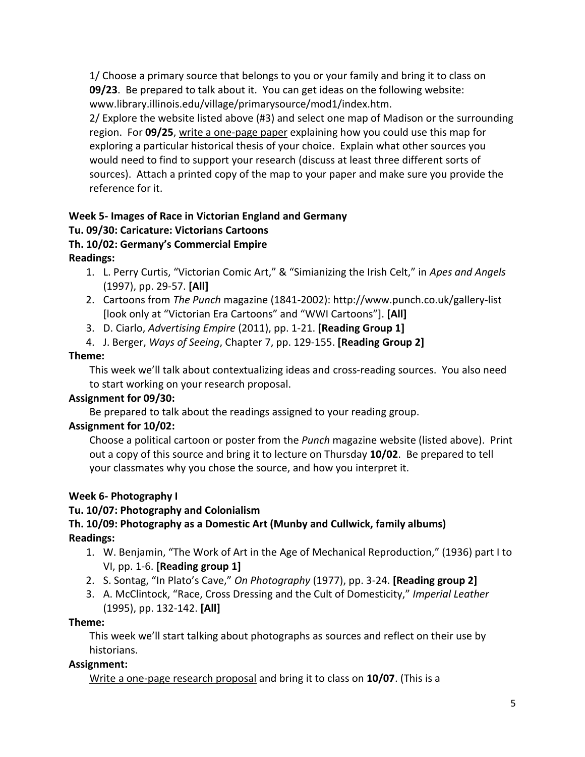1/ Choose a primary source that belongs to you or your family and bring it to class on **09/23**. Be prepared to talk about it. You can get ideas on the following website: [www.library.illinois.edu/village/primarysource/mod1/index.htm.](file:///C:/Users/Florence/Documents/HIST%20201/www.library.illinois.edu/village/primarysource/mod1/index.htm)

2/ Explore the website listed above (#3) and select one map of Madison or the surrounding region. For **09/25**, write a one-page paper explaining how you could use this map for exploring a particular historical thesis of your choice. Explain what other sources you would need to find to support your research (discuss at least three different sorts of sources). Attach a printed copy of the map to your paper and make sure you provide the reference for it.

#### **Week 5- Images of Race in Victorian England and Germany Tu. 09/30: Caricature: Victorians Cartoons**

# **Th. 10/02: Germany's Commercial Empire**

**Readings:** 

- 1. L. Perry Curtis, "Victorian Comic Art," & "Simianizing the Irish Celt," in *Apes and Angels* (1997), pp. 29-57. **[All]**
- 2. Cartoons from *The Punch* magazine (1841-2002):<http://www.punch.co.uk/gallery-list> [look only at "Victorian Era Cartoons" and "WWI Cartoons"]. **[All]**
- 3. D. Ciarlo, *Advertising Empire* (2011), pp. 1-21. **[Reading Group 1]**
- 4. J. Berger, *Ways of Seeing*, Chapter 7, pp. 129-155. **[Reading Group 2]**

# **Theme:**

This week we'll talk about contextualizing ideas and cross-reading sources. You also need to start working on your research proposal.

# **Assignment for 09/30:**

Be prepared to talk about the readings assigned to your reading group.

# **Assignment for 10/02:**

Choose a political cartoon or poster from the *Punch* magazine website (listed above). Print out a copy of this source and bring it to lecture on Thursday **10/02**. Be prepared to tell your classmates why you chose the source, and how you interpret it.

# **Week 6- Photography I**

# **Tu. 10/07: Photography and Colonialism**

# **Th. 10/09: Photography as a Domestic Art (Munby and Cullwick, family albums) Readings:**

- 1. W. Benjamin, "The Work of Art in the Age of Mechanical Reproduction," (1936) part I to VI, pp. 1-6. **[Reading group 1]**
- 2. S. Sontag, "In Plato's Cave," *On Photography* (1977), pp. 3-24. **[Reading group 2]**
- 3. A. McClintock, "Race, Cross Dressing and the Cult of Domesticity," *Imperial Leather* (1995), pp. 132-142. **[All]**

# **Theme:**

This week we'll start talking about photographs as sources and reflect on their use by historians.

# **Assignment:**

Write a one-page research proposal and bring it to class on **10/07**. (This is a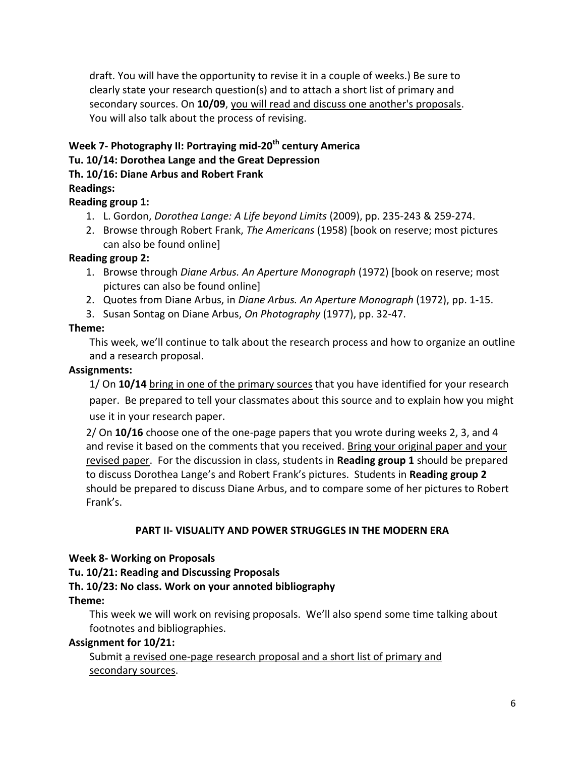draft. You will have the opportunity to revise it in a couple of weeks.) Be sure to clearly state your research question(s) and to attach a short list of primary and secondary sources. On **10/09**, you will read and discuss one another's proposals. You will also talk about the process of revising.

### **Week 7- Photography II: Portraying mid-20th century America Tu. 10/14: Dorothea Lange and the Great Depression Th. 10/16: Diane Arbus and Robert Frank**

# **Readings:**

## **Reading group 1:**

- 1. L. Gordon, *Dorothea Lange: A Life beyond Limits* (2009), pp. 235-243 & 259-274.
- 2. Browse through Robert Frank, *The Americans* (1958) [book on reserve; most pictures can also be found online]

## **Reading group 2:**

- 1. Browse through *Diane Arbus. An Aperture Monograph* (1972) [book on reserve; most pictures can also be found online]
- 2. Quotes from Diane Arbus, in *Diane Arbus. An Aperture Monograph* (1972), pp. 1-15.
- 3. Susan Sontag on Diane Arbus, *On Photography* (1977), pp. 32-47.

## **Theme:**

This week, we'll continue to talk about the research process and how to organize an outline and a research proposal.

## **Assignments:**

1/ On **10/14** bring in one of the primary sources that you have identified for your research paper. Be prepared to tell your classmates about this source and to explain how you might use it in your research paper.

2/ On **10/16** choose one of the one-page papers that you wrote during weeks 2, 3, and 4 and revise it based on the comments that you received. Bring your original paper and your revised paper. For the discussion in class, students in **Reading group 1** should be prepared to discuss Dorothea Lange's and Robert Frank's pictures. Students in **Reading group 2** should be prepared to discuss Diane Arbus, and to compare some of her pictures to Robert Frank's.

### **PART II- VISUALITY AND POWER STRUGGLES IN THE MODERN ERA**

### **Week 8- Working on Proposals**

# **Tu. 10/21: Reading and Discussing Proposals**

# **Th. 10/23: No class. Work on your annoted bibliography**

### **Theme:**

This week we will work on revising proposals. We'll also spend some time talking about footnotes and bibliographies.

### **Assignment for 10/21:**

Submit a revised one-page research proposal and a short list of primary and secondary sources.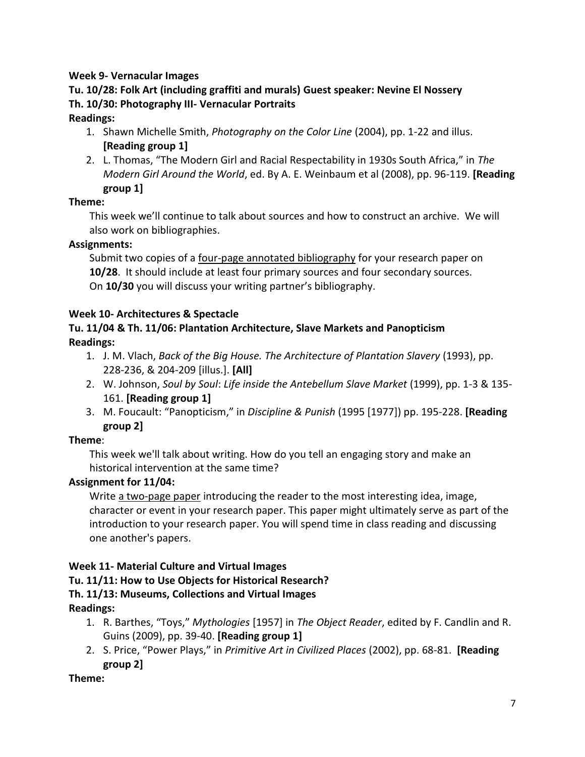# **Week 9- Vernacular Images**

# **Tu. 10/28: Folk Art (including graffiti and murals) Guest speaker: Nevine El Nossery Th. 10/30: Photography III- Vernacular Portraits**

### **Readings:**

- 1. Shawn Michelle Smith, *Photography on the Color Line* (2004), pp. 1-22 and illus. **[Reading group 1]**
- 2. L. Thomas, "The Modern Girl and Racial Respectability in 1930s South Africa," in *The Modern Girl Around the World*, ed. By A. E. Weinbaum et al (2008), pp. 96-119. **[Reading group 1]**

### **Theme:**

This week we'll continue to talk about sources and how to construct an archive. We will also work on bibliographies.

## **Assignments:**

Submit two copies of a four-page annotated bibliography for your research paper on **10/28**. It should include at least four primary sources and four secondary sources. On **10/30** you will discuss your writing partner's bibliography.

## **Week 10- Architectures & Spectacle**

# **Tu. 11/04 & Th. 11/06: Plantation Architecture, Slave Markets and Panopticism Readings:**

- 1. J. M. Vlach, *Back of the Big House. The Architecture of Plantation Slavery* (1993), pp. 228-236, & 204-209 [illus.]. **[All]**
- 2. W. Johnson, *Soul by Soul*: *Life inside the Antebellum Slave Market* (1999), pp. 1-3 & 135- 161. **[Reading group 1]**
- 3. M. Foucault: "Panopticism," in *Discipline & Punish* (1995 [1977]) pp. 195-228. **[Reading group 2]**

# **Theme**:

This week we'll talk about writing. How do you tell an engaging story and make an historical intervention at the same time?

# **Assignment for 11/04:**

Write a two-page paper introducing the reader to the most interesting idea, image, character or event in your research paper. This paper might ultimately serve as part of the introduction to your research paper. You will spend time in class reading and discussing one another's papers.

# **Week 11- Material Culture and Virtual Images**

# **Tu. 11/11: How to Use Objects for Historical Research?**

# **Th. 11/13: Museums, Collections and Virtual Images**

# **Readings:**

- 1. R. Barthes, "Toys," *Mythologies* [1957] in *The Object Reader*, edited by F. Candlin and R. Guins (2009), pp. 39-40. **[Reading group 1]**
- 2. S. Price, "Power Plays," in *Primitive Art in Civilized Places* (2002), pp. 68-81. **[Reading group 2]**

# **Theme:**